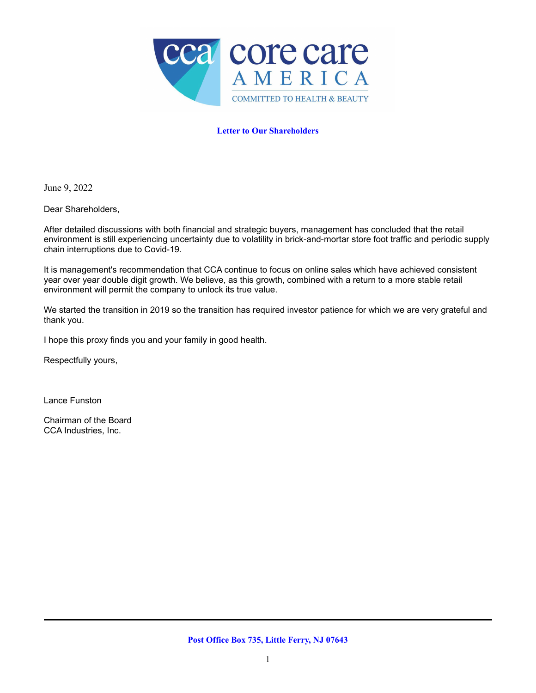

# **Letter to Our Shareholders**

June 9, 2022

Dear Shareholders,

After detailed discussions with both financial and strategic buyers, management has concluded that the retail environment is still experiencing uncertainty due to volatility in brick-and-mortar store foot traffic and periodic supply chain interruptions due to Covid-19.

It is management's recommendation that CCA continue to focus on online sales which have achieved consistent year over year double digit growth. We believe, as this growth, combined with a return to a more stable retail environment will permit the company to unlock its true value.

We started the transition in 2019 so the transition has required investor patience for which we are very grateful and thank you.

I hope this proxy finds you and your family in good health.

Respectfully yours,

Lance Funston

Chairman of the Board CCA Industries, Inc.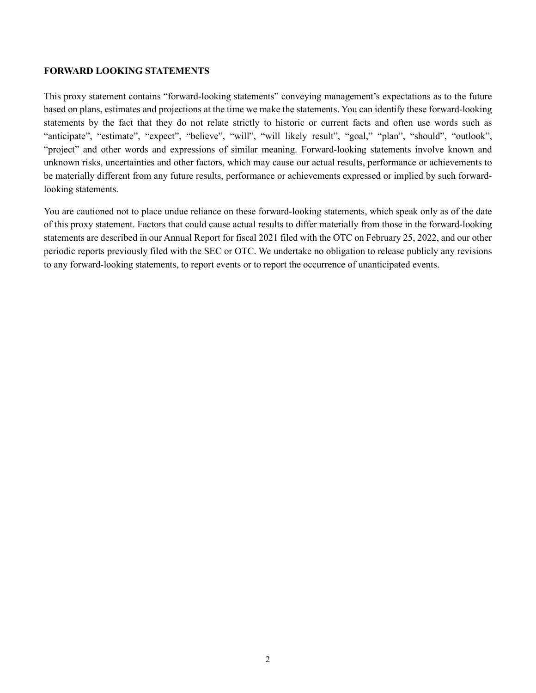# **FORWARD LOOKING STATEMENTS**

This proxy statement contains "forward-looking statements" conveying management's expectations as to the future based on plans, estimates and projections at the time we make the statements. You can identify these forward-looking statements by the fact that they do not relate strictly to historic or current facts and often use words such as "anticipate", "estimate", "expect", "believe", "will", "will likely result", "goal," "plan", "should", "outlook", "project" and other words and expressions of similar meaning. Forward-looking statements involve known and unknown risks, uncertainties and other factors, which may cause our actual results, performance or achievements to be materially different from any future results, performance or achievements expressed or implied by such forwardlooking statements.

You are cautioned not to place undue reliance on these forward-looking statements, which speak only as of the date of this proxy statement. Factors that could cause actual results to differ materially from those in the forward-looking statements are described in our Annual Report for fiscal 2021 filed with the OTC on February 25, 2022, and our other periodic reports previously filed with the SEC or OTC. We undertake no obligation to release publicly any revisions to any forward-looking statements, to report events or to report the occurrence of unanticipated events.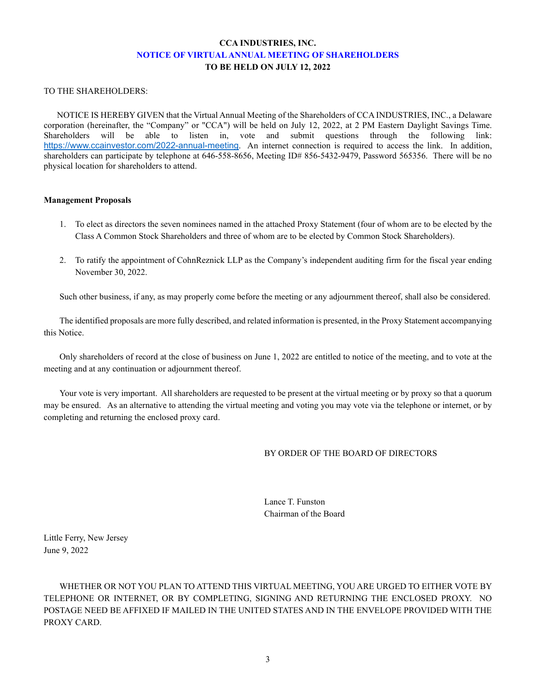# **CCA INDUSTRIES, INC. NOTICE OF VIRTUAL ANNUAL MEETING OF SHAREHOLDERS TO BE HELD ON JULY 12, 2022**

### TO THE SHAREHOLDERS:

 NOTICE IS HEREBY GIVEN that the Virtual Annual Meeting of the Shareholders of CCA INDUSTRIES, INC., a Delaware corporation (hereinafter, the "Company" or "CCA") will be held on July 12, 2022, at 2 PM Eastern Daylight Savings Time. Shareholders will be able to listen in, vote and submit questions through the following link: <https://www.ccainvestor.com/2022-annual-meeting>. An internet connection is required to access the link. In addition, shareholders can participate by telephone at 646-558-8656, Meeting ID# 856-5432-9479, Password 565356. There will be no physical location for shareholders to attend.

### **Management Proposals**

- 1. To elect as directors the seven nominees named in the attached Proxy Statement (four of whom are to be elected by the Class A Common Stock Shareholders and three of whom are to be elected by Common Stock Shareholders).
- 2. To ratify the appointment of CohnReznick LLP as the Company's independent auditing firm for the fiscal year ending November 30, 2022.

Such other business, if any, as may properly come before the meeting or any adjournment thereof, shall also be considered.

The identified proposals are more fully described, and related information is presented, in the Proxy Statement accompanying this Notice.

Only shareholders of record at the close of business on June 1, 2022 are entitled to notice of the meeting, and to vote at the meeting and at any continuation or adjournment thereof.

Your vote is very important. All shareholders are requested to be present at the virtual meeting or by proxy so that a quorum may be ensured. As an alternative to attending the virtual meeting and voting you may vote via the telephone or internet, or by completing and returning the enclosed proxy card.

## BY ORDER OF THE BOARD OF DIRECTORS

Lance T. Funston Chairman of the Board

Little Ferry, New Jersey June 9, 2022

WHETHER OR NOT YOU PLAN TO ATTEND THIS VIRTUAL MEETING, YOU ARE URGED TO EITHER VOTE BY TELEPHONE OR INTERNET, OR BY COMPLETING, SIGNING AND RETURNING THE ENCLOSED PROXY. NO POSTAGE NEED BE AFFIXED IF MAILED IN THE UNITED STATES AND IN THE ENVELOPE PROVIDED WITH THE PROXY CARD.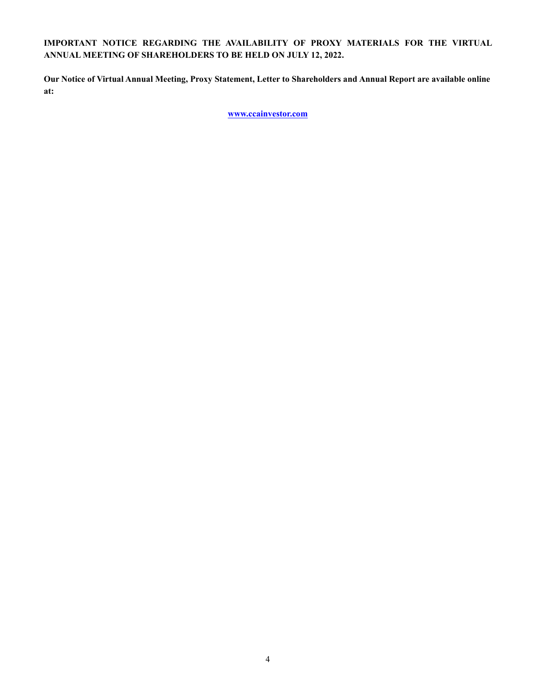# **IMPORTANT NOTICE REGARDING THE AVAILABILITY OF PROXY MATERIALS FOR THE VIRTUAL ANNUAL MEETING OF SHAREHOLDERS TO BE HELD ON JULY 12, 2022.**

**Our Notice of Virtual Annual Meeting, Proxy Statement, Letter to Shareholders and Annual Report are available online at:**

**www.ccainvestor.com**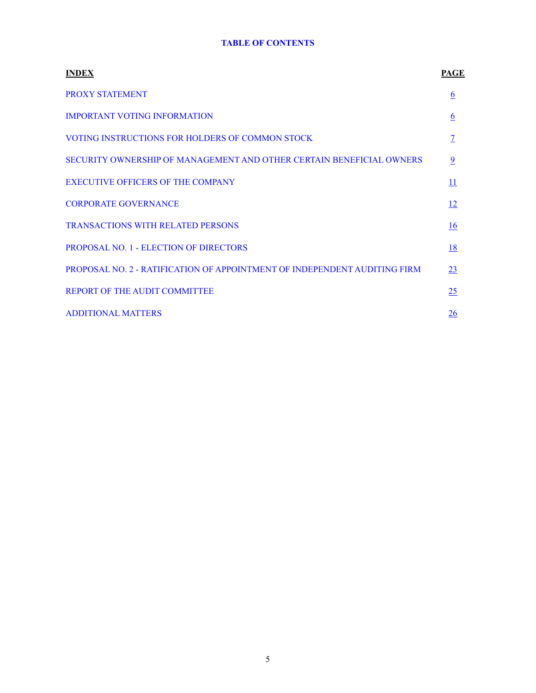# **TABLE OF CONTENTS**

| <b>INDEX</b>                                                                     | PAGE                     |
|----------------------------------------------------------------------------------|--------------------------|
| <b>PROXY STATEMENT</b>                                                           | 6                        |
| <b>IMPORTANT VOTING INFORMATION</b>                                              | $\underline{6}$          |
| VOTING INSTRUCTIONS FOR HOLDERS OF COMMON STOCK                                  | $\overline{\mathcal{I}}$ |
| SECURITY OWNERSHIP OF MANAGEMENT AND OTHER CERTAIN BENEFICIAL OWNERS             | $\overline{9}$           |
| <b>EXECUTIVE OFFICERS OF THE COMPANY</b>                                         | $\overline{11}$          |
| <b>CORPORATE GOVERNANCE</b>                                                      | <u>12</u>                |
| <b>TRANSACTIONS WITH RELATED PERSONS</b>                                         | 16                       |
| PROPOSAL NO. 1 - ELECTION OF DIRECTORS                                           | 18                       |
| <b>PROPOSAL NO. 2 - RATIFICATION OF APPOINTMENT OF INDEPENDENT AUDITING FIRM</b> | 23                       |
| <b>REPORT OF THE AUDIT COMMITTEE</b>                                             | 25                       |
| <b>ADDITIONAL MATTERS</b>                                                        | 26                       |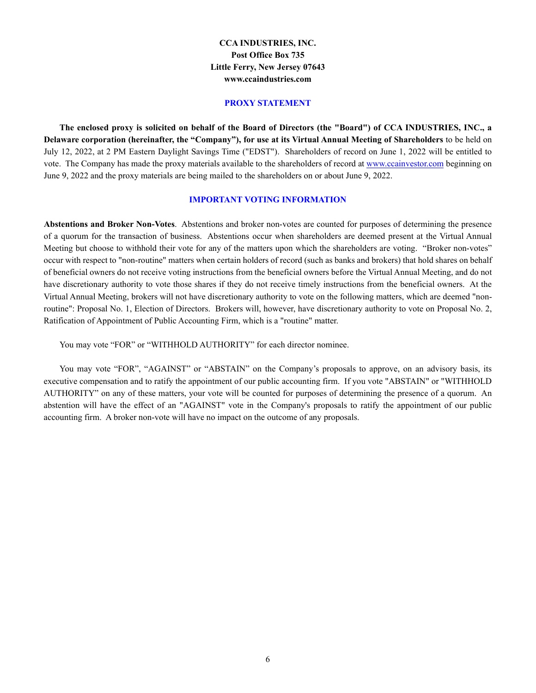# **CCA INDUSTRIES, INC. Post Office Box 735 Little Ferry, New Jersey 07643 www.ccaindustries.com**

### **PROXY STATEMENT**

**The enclosed proxy is solicited on behalf of the Board of Directors (the "Board") of CCA INDUSTRIES, INC., a Delaware corporation (hereinafter, the "Company"), for use at its Virtual Annual Meeting of Shareholders** to be held on July 12, 2022, at 2 PM Eastern Daylight Savings Time ("EDST"). Shareholders of record on June 1, 2022 will be entitled to vote. The Company has made the proxy materials available to the shareholders of record at www.ccainvestor.com beginning on June 9, 2022 and the proxy materials are being mailed to the shareholders on or about June 9, 2022.

### **IMPORTANT VOTING INFORMATION**

**Abstentions and Broker Non-Votes**. Abstentions and broker non-votes are counted for purposes of determining the presence of a quorum for the transaction of business. Abstentions occur when shareholders are deemed present at the Virtual Annual Meeting but choose to withhold their vote for any of the matters upon which the shareholders are voting. "Broker non-votes" occur with respect to "non-routine" matters when certain holders of record (such as banks and brokers) that hold shares on behalf of beneficial owners do not receive voting instructions from the beneficial owners before the Virtual Annual Meeting, and do not have discretionary authority to vote those shares if they do not receive timely instructions from the beneficial owners. At the Virtual Annual Meeting, brokers will not have discretionary authority to vote on the following matters, which are deemed "nonroutine": Proposal No. 1, Election of Directors. Brokers will, however, have discretionary authority to vote on Proposal No. 2, Ratification of Appointment of Public Accounting Firm, which is a "routine" matter.

You may vote "FOR" or "WITHHOLD AUTHORITY" for each director nominee.

You may vote "FOR", "AGAINST" or "ABSTAIN" on the Company's proposals to approve, on an advisory basis, its executive compensation and to ratify the appointment of our public accounting firm. If you vote "ABSTAIN" or "WITHHOLD AUTHORITY" on any of these matters, your vote will be counted for purposes of determining the presence of a quorum. An abstention will have the effect of an "AGAINST" vote in the Company's proposals to ratify the appointment of our public accounting firm. A broker non-vote will have no impact on the outcome of any proposals.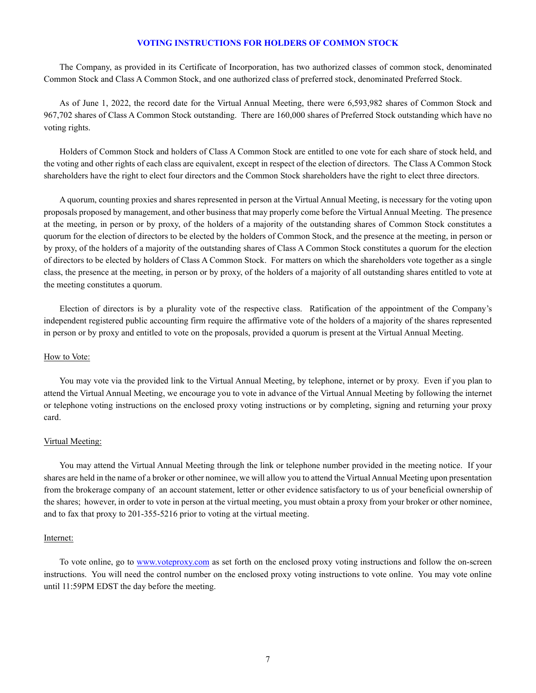### **VOTING INSTRUCTIONS FOR HOLDERS OF COMMON STOCK**

The Company, as provided in its Certificate of Incorporation, has two authorized classes of common stock, denominated Common Stock and Class A Common Stock, and one authorized class of preferred stock, denominated Preferred Stock.

As of June 1, 2022, the record date for the Virtual Annual Meeting, there were 6,593,982 shares of Common Stock and 967,702 shares of Class A Common Stock outstanding. There are 160,000 shares of Preferred Stock outstanding which have no voting rights.

Holders of Common Stock and holders of Class A Common Stock are entitled to one vote for each share of stock held, and the voting and other rights of each class are equivalent, except in respect of the election of directors. The Class A Common Stock shareholders have the right to elect four directors and the Common Stock shareholders have the right to elect three directors.

A quorum, counting proxies and shares represented in person at the Virtual Annual Meeting, is necessary for the voting upon proposals proposed by management, and other business that may properly come before the Virtual Annual Meeting. The presence at the meeting, in person or by proxy, of the holders of a majority of the outstanding shares of Common Stock constitutes a quorum for the election of directors to be elected by the holders of Common Stock, and the presence at the meeting, in person or by proxy, of the holders of a majority of the outstanding shares of Class A Common Stock constitutes a quorum for the election of directors to be elected by holders of Class A Common Stock. For matters on which the shareholders vote together as a single class, the presence at the meeting, in person or by proxy, of the holders of a majority of all outstanding shares entitled to vote at the meeting constitutes a quorum.

Election of directors is by a plurality vote of the respective class. Ratification of the appointment of the Company's independent registered public accounting firm require the affirmative vote of the holders of a majority of the shares represented in person or by proxy and entitled to vote on the proposals, provided a quorum is present at the Virtual Annual Meeting.

#### How to Vote:

You may vote via the provided link to the Virtual Annual Meeting, by telephone, internet or by proxy. Even if you plan to attend the Virtual Annual Meeting, we encourage you to vote in advance of the Virtual Annual Meeting by following the internet or telephone voting instructions on the enclosed proxy voting instructions or by completing, signing and returning your proxy card.

#### Virtual Meeting:

You may attend the Virtual Annual Meeting through the link or telephone number provided in the meeting notice. If your shares are held in the name of a broker or other nominee, we will allow you to attend the Virtual Annual Meeting upon presentation from the brokerage company of an account statement, letter or other evidence satisfactory to us of your beneficial ownership of the shares; however, in order to vote in person at the virtual meeting, you must obtain a proxy from your broker or other nominee, and to fax that proxy to 201-355-5216 prior to voting at the virtual meeting.

#### Internet:

To vote online, go to www.voteproxy.com as set forth on the enclosed proxy voting instructions and follow the on-screen instructions. You will need the control number on the enclosed proxy voting instructions to vote online. You may vote online until 11:59PM EDST the day before the meeting.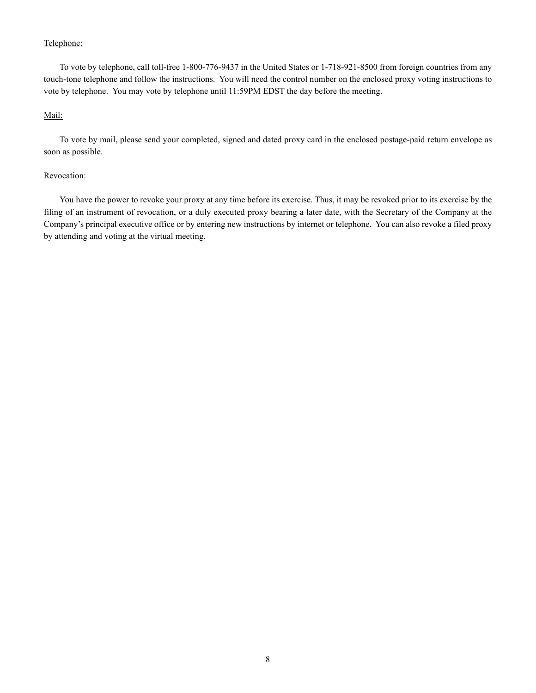## Telephone:

To vote by telephone, call toll-free 1-800-776-9437 in the United States or 1-718-921-8500 from foreign countries from any touch-tone telephone and follow the instructions. You will need the control number on the enclosed proxy voting instructions to vote by telephone. You may vote by telephone until 11:59PM EDST the day before the meeting.

# Mail:

To vote by mail, please send your completed, signed and dated proxy card in the enclosed postage-paid return envelope as soon as possible.

## Revocation:

You have the power to revoke your proxy at any time before its exercise. Thus, it may be revoked prior to its exercise by the filing of an instrument of revocation, or a duly executed proxy bearing a later date, with the Secretary of the Company at the Company's principal executive office or by entering new instructions by internet or telephone. You can also revoke a filed proxy by attending and voting at the virtual meeting.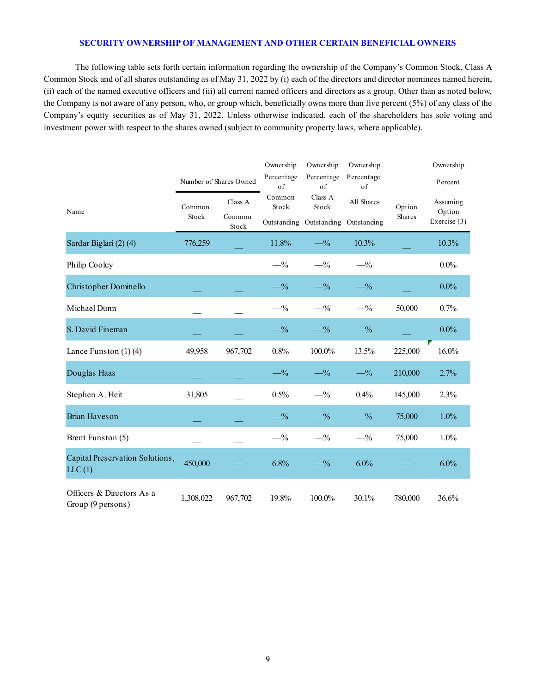# **SECURITY OWNERSHIP OF MANAGEMENT AND OTHER CERTAIN BENEFICIAL OWNERS**

The following table sets forth certain information regarding the ownership of the Company's Common Stock, Class A Common Stock and of all shares outstanding as of May 31, 2022 by (i) each of the directors and director nominees named herein, (ii) each of the named executive officers and (iii) all current named officers and directors as a group. Other than as noted below, the Company is not aware of any person, who, or group which, beneficially owns more than five percent (5%) of any class of the Company's equity securities as of May 31, 2022. Unless otherwise indicated, each of the shareholders has sole voting and investment power with respect to the shares owned (subject to community property laws, where applicable).

|                                                |                        |                 | Ownership<br>Ownership   |                                     | Ownership        |         | Ownership                          |  |
|------------------------------------------------|------------------------|-----------------|--------------------------|-------------------------------------|------------------|---------|------------------------------------|--|
|                                                | Number of Shares Owned |                 | Percentage<br>$\sigma$ f | Percentage<br>of                    | Percentage<br>of |         | Percent                            |  |
| Name                                           | Common<br>Stock        | Class A         | Common<br>Stock          | Class A<br>Stock                    | All Shares       | Option  | Assuming<br>Option<br>Exercise (3) |  |
|                                                |                        | Common<br>Stock |                          | Outstanding Outstanding Outstanding |                  | Shares  |                                    |  |
| Sardar Biglari (2) (4)                         | 776,259                |                 | 11.8%                    | $-1/2$                              | 10.3%            |         | 10.3%                              |  |
| Philip Cooley                                  |                        |                 | $-$ %                    | $-$ %                               | $-$ %            |         | $0.0\%$                            |  |
| Christopher Dominello                          |                        |                 | $-$ %                    | $-$ %                               | $-$ %            |         | $0.0\%$                            |  |
| Michael Dunn                                   |                        |                 | $-$ %                    | $-$ %                               | $-$ %            | 50,000  | 0.7%                               |  |
| S. David Fineman                               |                        |                 | $-$ %                    | $-$ %                               | $- \frac{9}{6}$  |         | $0.0\%$                            |  |
| Lance Funston $(1)(4)$                         | 49,958                 | 967,702         | 0.8%                     | 100.0%                              | 13.5%            | 225,000 | 16.0%                              |  |
| Douglas Haas                                   |                        |                 | $-$ %                    | $-$ %                               | $-$ %            | 210,000 | 2.7%                               |  |
| Stephen A. Heit                                | 31,805                 |                 | 0.5%                     | $-$ %                               | 0.4%             | 145,000 | 2.3%                               |  |
| <b>Brian Haveson</b>                           |                        |                 | $-$ %                    | $-$ %                               | $-$ %            | 75,000  | 1.0%                               |  |
| Brent Funston (5)                              |                        |                 | $-$ %                    | $-$ %                               | $-$ %            | 75,000  | 1.0%                               |  |
| Capital Preservation Solutions,<br>LLC(1)      | 450,000                |                 | 6.8%                     | $-$ %                               | 6.0%             |         | $6.0\%$                            |  |
| Officers & Directors As a<br>Group (9 persons) | 1,308,022              | 967,702         | 19.8%                    | 100.0%                              | 30.1%            | 780,000 | 36.6%                              |  |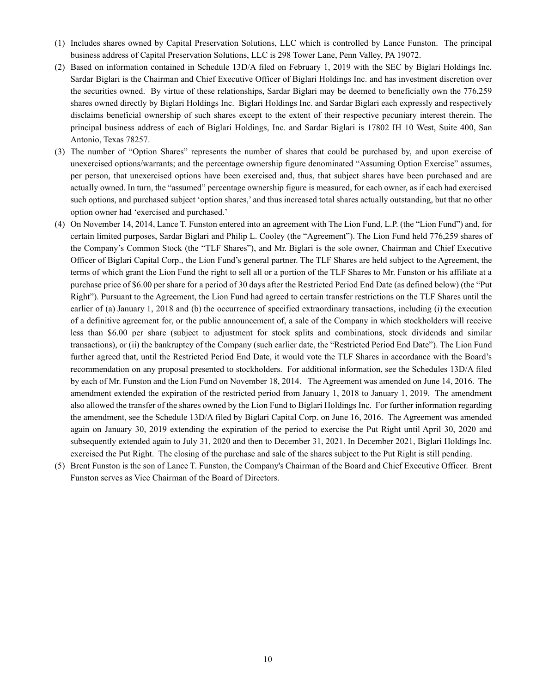- (1) Includes shares owned by Capital Preservation Solutions, LLC which is controlled by Lance Funston. The principal business address of Capital Preservation Solutions, LLC is 298 Tower Lane, Penn Valley, PA 19072.
- (2) Based on information contained in Schedule 13D/A filed on February 1, 2019 with the SEC by Biglari Holdings Inc. Sardar Biglari is the Chairman and Chief Executive Officer of Biglari Holdings Inc. and has investment discretion over the securities owned. By virtue of these relationships, Sardar Biglari may be deemed to beneficially own the 776,259 shares owned directly by Biglari Holdings Inc. Biglari Holdings Inc. and Sardar Biglari each expressly and respectively disclaims beneficial ownership of such shares except to the extent of their respective pecuniary interest therein. The principal business address of each of Biglari Holdings, Inc. and Sardar Biglari is 17802 IH 10 West, Suite 400, San Antonio, Texas 78257.
- (3) The number of "Option Shares" represents the number of shares that could be purchased by, and upon exercise of unexercised options/warrants; and the percentage ownership figure denominated "Assuming Option Exercise" assumes, per person, that unexercised options have been exercised and, thus, that subject shares have been purchased and are actually owned. In turn, the "assumed" percentage ownership figure is measured, for each owner, as if each had exercised such options, and purchased subject 'option shares,' and thus increased total shares actually outstanding, but that no other option owner had 'exercised and purchased.'
- (4) On November 14, 2014, Lance T. Funston entered into an agreement with The Lion Fund, L.P. (the "Lion Fund") and, for certain limited purposes, Sardar Biglari and Philip L. Cooley (the "Agreement"). The Lion Fund held 776,259 shares of the Company's Common Stock (the "TLF Shares"), and Mr. Biglari is the sole owner, Chairman and Chief Executive Officer of Biglari Capital Corp., the Lion Fund's general partner. The TLF Shares are held subject to the Agreement, the terms of which grant the Lion Fund the right to sell all or a portion of the TLF Shares to Mr. Funston or his affiliate at a purchase price of \$6.00 per share for a period of 30 days after the Restricted Period End Date (as defined below) (the "Put Right"). Pursuant to the Agreement, the Lion Fund had agreed to certain transfer restrictions on the TLF Shares until the earlier of (a) January 1, 2018 and (b) the occurrence of specified extraordinary transactions, including (i) the execution of a definitive agreement for, or the public announcement of, a sale of the Company in which stockholders will receive less than \$6.00 per share (subject to adjustment for stock splits and combinations, stock dividends and similar transactions), or (ii) the bankruptcy of the Company (such earlier date, the "Restricted Period End Date"). The Lion Fund further agreed that, until the Restricted Period End Date, it would vote the TLF Shares in accordance with the Board's recommendation on any proposal presented to stockholders. For additional information, see the Schedules 13D/A filed by each of Mr. Funston and the Lion Fund on November 18, 2014. The Agreement was amended on June 14, 2016. The amendment extended the expiration of the restricted period from January 1, 2018 to January 1, 2019. The amendment also allowed the transfer of the shares owned by the Lion Fund to Biglari Holdings Inc. For further information regarding the amendment, see the Schedule 13D/A filed by Biglari Capital Corp. on June 16, 2016. The Agreement was amended again on January 30, 2019 extending the expiration of the period to exercise the Put Right until April 30, 2020 and subsequently extended again to July 31, 2020 and then to December 31, 2021. In December 2021, Biglari Holdings Inc. exercised the Put Right. The closing of the purchase and sale of the shares subject to the Put Right is still pending.
- (5) Brent Funston is the son of Lance T. Funston, the Company's Chairman of the Board and Chief Executive Officer. Brent Funston serves as Vice Chairman of the Board of Directors.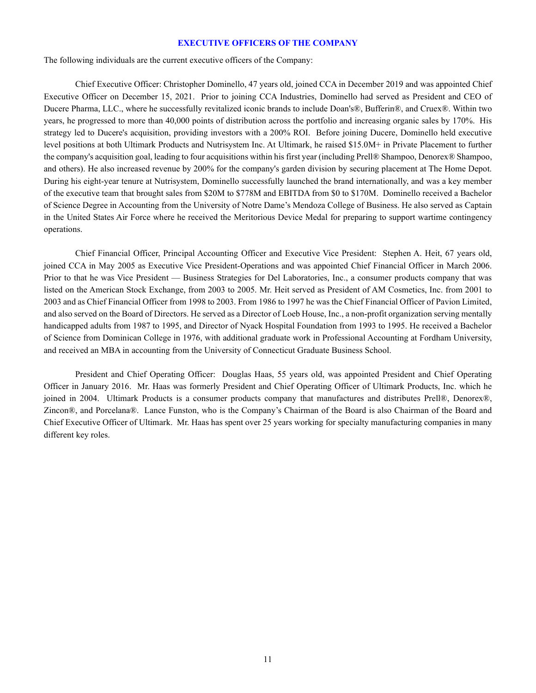### **EXECUTIVE OFFICERS OF THE COMPANY**

The following individuals are the current executive officers of the Company:

Chief Executive Officer: Christopher Dominello, 47 years old, joined CCA in December 2019 and was appointed Chief Executive Officer on December 15, 2021. Prior to joining CCA Industries, Dominello had served as President and CEO of Ducere Pharma, LLC., where he successfully revitalized iconic brands to include Doan's®, Bufferin®, and Cruex®. Within two years, he progressed to more than 40,000 points of distribution across the portfolio and increasing organic sales by 170%. His strategy led to Ducere's acquisition, providing investors with a 200% ROI. Before joining Ducere, Dominello held executive level positions at both Ultimark Products and Nutrisystem Inc. At Ultimark, he raised \$15.0M+ in Private Placement to further the company's acquisition goal, leading to four acquisitions within his first year (including Prell® Shampoo, Denorex® Shampoo, and others). He also increased revenue by 200% for the company's garden division by securing placement at The Home Depot. During his eight-year tenure at Nutrisystem, Dominello successfully launched the brand internationally, and was a key member of the executive team that brought sales from \$20M to \$778M and EBITDA from \$0 to \$170M. Dominello received a Bachelor of Science Degree in Accounting from the University of Notre Dame's Mendoza College of Business. He also served as Captain in the United States Air Force where he received the Meritorious Device Medal for preparing to support wartime contingency operations.

Chief Financial Officer, Principal Accounting Officer and Executive Vice President: Stephen A. Heit, 67 years old, joined CCA in May 2005 as Executive Vice President-Operations and was appointed Chief Financial Officer in March 2006. Prior to that he was Vice President — Business Strategies for Del Laboratories, Inc., a consumer products company that was listed on the American Stock Exchange, from 2003 to 2005. Mr. Heit served as President of AM Cosmetics, Inc. from 2001 to 2003 and as Chief Financial Officer from 1998 to 2003. From 1986 to 1997 he was the Chief Financial Officer of Pavion Limited, and also served on the Board of Directors. He served as a Director of Loeb House, Inc., a non-profit organization serving mentally handicapped adults from 1987 to 1995, and Director of Nyack Hospital Foundation from 1993 to 1995. He received a Bachelor of Science from Dominican College in 1976, with additional graduate work in Professional Accounting at Fordham University, and received an MBA in accounting from the University of Connecticut Graduate Business School.

President and Chief Operating Officer: Douglas Haas, 55 years old, was appointed President and Chief Operating Officer in January 2016. Mr. Haas was formerly President and Chief Operating Officer of Ultimark Products, Inc. which he joined in 2004. Ultimark Products is a consumer products company that manufactures and distributes Prell®, Denorex®, Zincon®, and Porcelana®. Lance Funston, who is the Company's Chairman of the Board is also Chairman of the Board and Chief Executive Officer of Ultimark. Mr. Haas has spent over 25 years working for specialty manufacturing companies in many different key roles.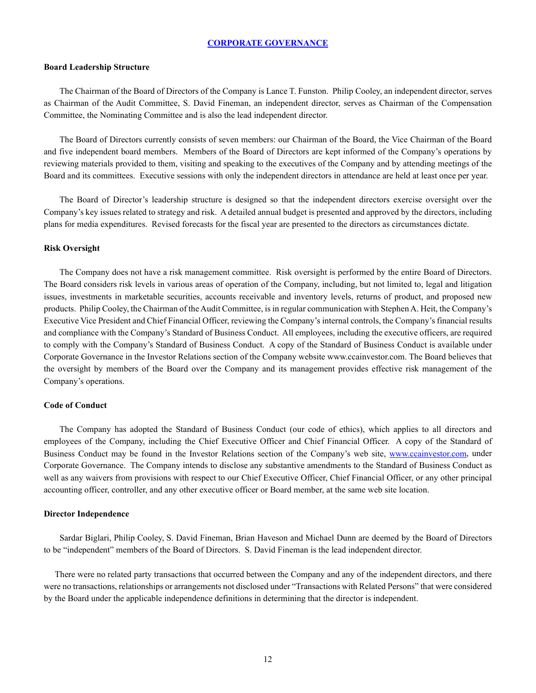### **CORPORATE GOVERNANCE**

#### **Board Leadership Structure**

The Chairman of the Board of Directors of the Company is Lance T. Funston. Philip Cooley, an independent director, serves as Chairman of the Audit Committee, S. David Fineman, an independent director, serves as Chairman of the Compensation Committee, the Nominating Committee and is also the lead independent director.

The Board of Directors currently consists of seven members: our Chairman of the Board, the Vice Chairman of the Board and five independent board members. Members of the Board of Directors are kept informed of the Company's operations by reviewing materials provided to them, visiting and speaking to the executives of the Company and by attending meetings of the Board and its committees. Executive sessions with only the independent directors in attendance are held at least once per year.

The Board of Director's leadership structure is designed so that the independent directors exercise oversight over the Company's key issues related to strategy and risk. A detailed annual budget is presented and approved by the directors, including plans for media expenditures. Revised forecasts for the fiscal year are presented to the directors as circumstances dictate.

#### **Risk Oversight**

The Company does not have a risk management committee. Risk oversight is performed by the entire Board of Directors. The Board considers risk levels in various areas of operation of the Company, including, but not limited to, legal and litigation issues, investments in marketable securities, accounts receivable and inventory levels, returns of product, and proposed new products. Philip Cooley, the Chairman of the Audit Committee, is in regular communication with Stephen A. Heit, the Company's Executive Vice President and Chief Financial Officer, reviewing the Company's internal controls, the Company's financial results and compliance with the Company's Standard of Business Conduct. All employees, including the executive officers, are required to comply with the Company's Standard of Business Conduct. A copy of the Standard of Business Conduct is available under Corporate Governance in the Investor Relations section of the Company website www.ccainvestor.com. The Board believes that the oversight by members of the Board over the Company and its management provides effective risk management of the Company's operations.

### **Code of Conduct**

The Company has adopted the Standard of Business Conduct (our code of ethics), which applies to all directors and employees of the Company, including the Chief Executive Officer and Chief Financial Officer. A copy of the Standard of Business Conduct may be found in the Investor Relations section of the Company's web site, www.ccainvestor.com, under Corporate Governance. The Company intends to disclose any substantive amendments to the Standard of Business Conduct as well as any waivers from provisions with respect to our Chief Executive Officer, Chief Financial Officer, or any other principal accounting officer, controller, and any other executive officer or Board member, at the same web site location.

#### **Director Independence**

Sardar Biglari, Philip Cooley, S. David Fineman, Brian Haveson and Michael Dunn are deemed by the Board of Directors to be "independent" members of the Board of Directors. S. David Fineman is the lead independent director.

There were no related party transactions that occurred between the Company and any of the independent directors, and there were no transactions, relationships or arrangements not disclosed under "Transactions with Related Persons" that were considered by the Board under the applicable independence definitions in determining that the director is independent.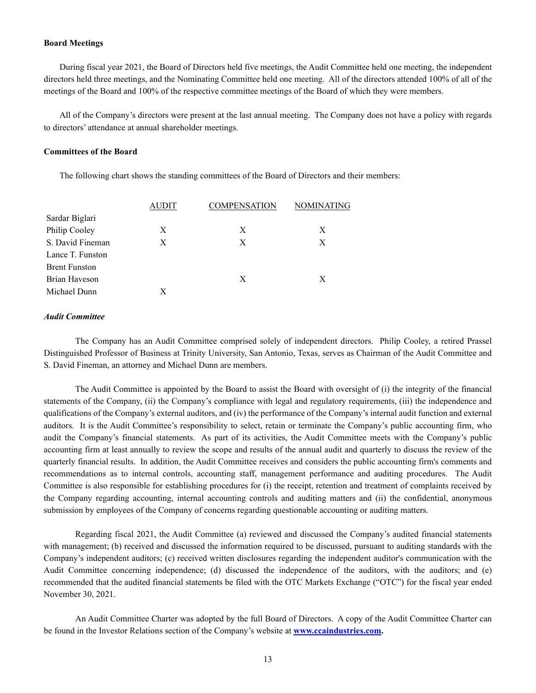#### **Board Meetings**

During fiscal year 2021, the Board of Directors held five meetings, the Audit Committee held one meeting, the independent directors held three meetings, and the Nominating Committee held one meeting. All of the directors attended 100% of all of the meetings of the Board and 100% of the respective committee meetings of the Board of which they were members.

All of the Company's directors were present at the last annual meeting. The Company does not have a policy with regards to directors' attendance at annual shareholder meetings.

### **Committees of the Board**

The following chart shows the standing committees of the Board of Directors and their members:

|                      | AUDIT | <b>COMPENSATION</b> | <b>NOMINATING</b> |  |  |
|----------------------|-------|---------------------|-------------------|--|--|
| Sardar Biglari       |       |                     |                   |  |  |
| Philip Cooley        | X     | X                   | X                 |  |  |
| S. David Fineman     | X     | X                   | X                 |  |  |
| Lance T. Funston     |       |                     |                   |  |  |
| <b>Brent Funston</b> |       |                     |                   |  |  |
| Brian Haveson        |       | X                   | X                 |  |  |
| Michael Dunn         | X     |                     |                   |  |  |
|                      |       |                     |                   |  |  |

### *Audit Committee*

The Company has an Audit Committee comprised solely of independent directors. Philip Cooley, a retired Prassel Distinguished Professor of Business at Trinity University, San Antonio, Texas, serves as Chairman of the Audit Committee and S. David Fineman, an attorney and Michael Dunn are members.

The Audit Committee is appointed by the Board to assist the Board with oversight of (i) the integrity of the financial statements of the Company, (ii) the Company's compliance with legal and regulatory requirements, (iii) the independence and qualifications of the Company's external auditors, and (iv) the performance of the Company's internal audit function and external auditors. It is the Audit Committee's responsibility to select, retain or terminate the Company's public accounting firm, who audit the Company's financial statements. As part of its activities, the Audit Committee meets with the Company's public accounting firm at least annually to review the scope and results of the annual audit and quarterly to discuss the review of the quarterly financial results. In addition, the Audit Committee receives and considers the public accounting firm's comments and recommendations as to internal controls, accounting staff, management performance and auditing procedures. The Audit Committee is also responsible for establishing procedures for (i) the receipt, retention and treatment of complaints received by the Company regarding accounting, internal accounting controls and auditing matters and (ii) the confidential, anonymous submission by employees of the Company of concerns regarding questionable accounting or auditing matters.

Regarding fiscal 2021, the Audit Committee (a) reviewed and discussed the Company's audited financial statements with management; (b) received and discussed the information required to be discussed, pursuant to auditing standards with the Company's independent auditors; (c) received written disclosures regarding the independent auditor's communication with the Audit Committee concerning independence; (d) discussed the independence of the auditors, with the auditors; and (e) recommended that the audited financial statements be filed with the OTC Markets Exchange ("OTC") for the fiscal year ended November 30, 2021.

An Audit Committee Charter was adopted by the full Board of Directors. A copy of the Audit Committee Charter can be found in the Investor Relations section of the Company's website at **www.ccaindustries.com.**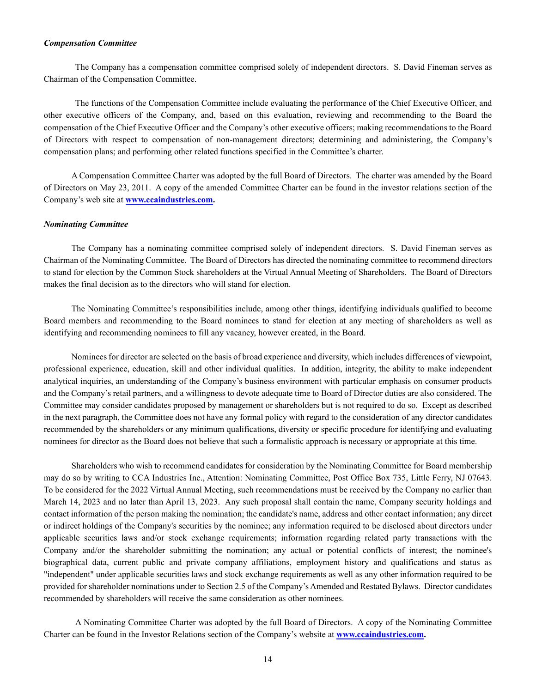#### *Compensation Committee*

The Company has a compensation committee comprised solely of independent directors. S. David Fineman serves as Chairman of the Compensation Committee.

The functions of the Compensation Committee include evaluating the performance of the Chief Executive Officer, and other executive officers of the Company, and, based on this evaluation, reviewing and recommending to the Board the compensation of the Chief Executive Officer and the Company's other executive officers; making recommendations to the Board of Directors with respect to compensation of non-management directors; determining and administering, the Company's compensation plans; and performing other related functions specified in the Committee's charter.

A Compensation Committee Charter was adopted by the full Board of Directors. The charter was amended by the Board of Directors on May 23, 2011. A copy of the amended Committee Charter can be found in the investor relations section of the Company's web site at **www.ccaindustries.com.**

#### *Nominating Committee*

The Company has a nominating committee comprised solely of independent directors. S. David Fineman serves as Chairman of the Nominating Committee. The Board of Directors has directed the nominating committee to recommend directors to stand for election by the Common Stock shareholders at the Virtual Annual Meeting of Shareholders. The Board of Directors makes the final decision as to the directors who will stand for election.

The Nominating Committee's responsibilities include, among other things, identifying individuals qualified to become Board members and recommending to the Board nominees to stand for election at any meeting of shareholders as well as identifying and recommending nominees to fill any vacancy, however created, in the Board.

Nominees for director are selected on the basis of broad experience and diversity, which includes differences of viewpoint, professional experience, education, skill and other individual qualities. In addition, integrity, the ability to make independent analytical inquiries, an understanding of the Company's business environment with particular emphasis on consumer products and the Company's retail partners, and a willingness to devote adequate time to Board of Director duties are also considered. The Committee may consider candidates proposed by management or shareholders but is not required to do so. Except as described in the next paragraph, the Committee does not have any formal policy with regard to the consideration of any director candidates recommended by the shareholders or any minimum qualifications, diversity or specific procedure for identifying and evaluating nominees for director as the Board does not believe that such a formalistic approach is necessary or appropriate at this time.

Shareholders who wish to recommend candidates for consideration by the Nominating Committee for Board membership may do so by writing to CCA Industries Inc., Attention: Nominating Committee, Post Office Box 735, Little Ferry, NJ 07643. To be considered for the 2022 Virtual Annual Meeting, such recommendations must be received by the Company no earlier than March 14, 2023 and no later than April 13, 2023. Any such proposal shall contain the name, Company security holdings and contact information of the person making the nomination; the candidate's name, address and other contact information; any direct or indirect holdings of the Company's securities by the nominee; any information required to be disclosed about directors under applicable securities laws and/or stock exchange requirements; information regarding related party transactions with the Company and/or the shareholder submitting the nomination; any actual or potential conflicts of interest; the nominee's biographical data, current public and private company affiliations, employment history and qualifications and status as "independent" under applicable securities laws and stock exchange requirements as well as any other information required to be provided for shareholder nominations under to Section 2.5 of the Company's Amended and Restated Bylaws. Director candidates recommended by shareholders will receive the same consideration as other nominees.

A Nominating Committee Charter was adopted by the full Board of Directors. A copy of the Nominating Committee Charter can be found in the Investor Relations section of the Company's website at **www.ccaindustries.com.**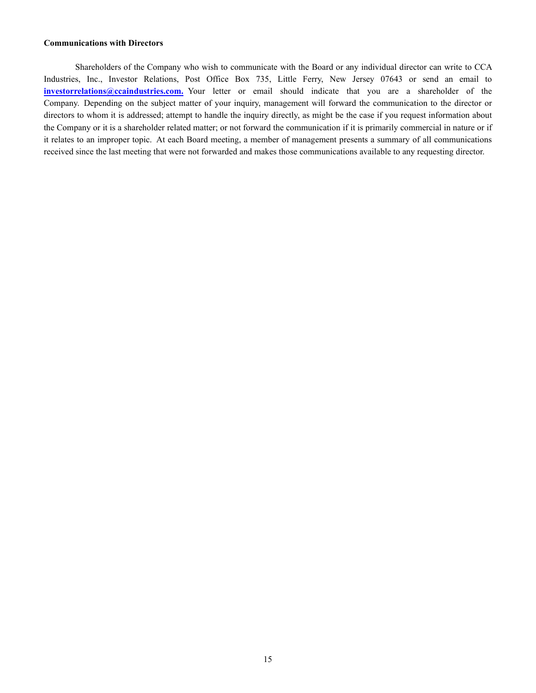## **Communications with Directors**

Shareholders of the Company who wish to communicate with the Board or any individual director can write to CCA Industries, Inc., Investor Relations, Post Office Box 735, Little Ferry, New Jersey 07643 or send an email to **investorrelations@ccaindustries.com.** Your letter or email should indicate that you are a shareholder of the Company. Depending on the subject matter of your inquiry, management will forward the communication to the director or directors to whom it is addressed; attempt to handle the inquiry directly, as might be the case if you request information about the Company or it is a shareholder related matter; or not forward the communication if it is primarily commercial in nature or if it relates to an improper topic. At each Board meeting, a member of management presents a summary of all communications received since the last meeting that were not forwarded and makes those communications available to any requesting director.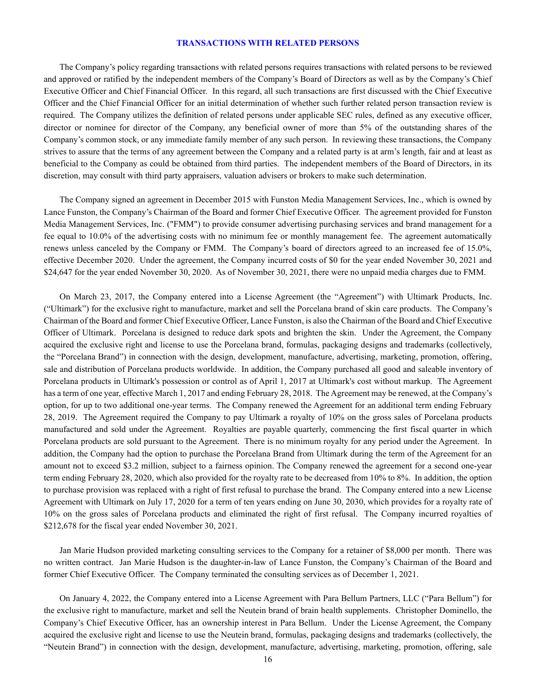### **TRANSACTIONS WITH RELATED PERSONS**

The Company's policy regarding transactions with related persons requires transactions with related persons to be reviewed and approved or ratified by the independent members of the Company's Board of Directors as well as by the Company's Chief Executive Officer and Chief Financial Officer. In this regard, all such transactions are first discussed with the Chief Executive Officer and the Chief Financial Officer for an initial determination of whether such further related person transaction review is required. The Company utilizes the definition of related persons under applicable SEC rules, defined as any executive officer, director or nominee for director of the Company, any beneficial owner of more than 5% of the outstanding shares of the Company's common stock, or any immediate family member of any such person. In reviewing these transactions, the Company strives to assure that the terms of any agreement between the Company and a related party is at arm's length, fair and at least as beneficial to the Company as could be obtained from third parties. The independent members of the Board of Directors, in its discretion, may consult with third party appraisers, valuation advisers or brokers to make such determination.

The Company signed an agreement in December 2015 with Funston Media Management Services, Inc., which is owned by Lance Funston, the Company's Chairman of the Board and former Chief Executive Officer. The agreement provided for Funston Media Management Services, Inc. ("FMM") to provide consumer advertising purchasing services and brand management for a fee equal to 10.0% of the advertising costs with no minimum fee or monthly management fee. The agreement automatically renews unless canceled by the Company or FMM. The Company's board of directors agreed to an increased fee of 15.0%, effective December 2020. Under the agreement, the Company incurred costs of \$0 for the year ended November 30, 2021 and \$24,647 for the year ended November 30, 2020. As of November 30, 2021, there were no unpaid media charges due to FMM.

On March 23, 2017, the Company entered into a License Agreement (the "Agreement") with Ultimark Products, Inc. ("Ultimark") for the exclusive right to manufacture, market and sell the Porcelana brand of skin care products. The Company's Chairman of the Board and former Chief Executive Officer, Lance Funston, is also the Chairman of the Board and Chief Executive Officer of Ultimark. Porcelana is designed to reduce dark spots and brighten the skin. Under the Agreement, the Company acquired the exclusive right and license to use the Porcelana brand, formulas, packaging designs and trademarks (collectively, the "Porcelana Brand") in connection with the design, development, manufacture, advertising, marketing, promotion, offering, sale and distribution of Porcelana products worldwide. In addition, the Company purchased all good and saleable inventory of Porcelana products in Ultimark's possession or control as of April 1, 2017 at Ultimark's cost without markup. The Agreement has a term of one year, effective March 1, 2017 and ending February 28, 2018. The Agreement may be renewed, at the Company's option, for up to two additional one-year terms. The Company renewed the Agreement for an additional term ending February 28, 2019. The Agreement required the Company to pay Ultimark a royalty of 10% on the gross sales of Porcelana products manufactured and sold under the Agreement. Royalties are payable quarterly, commencing the first fiscal quarter in which Porcelana products are sold pursuant to the Agreement. There is no minimum royalty for any period under the Agreement. In addition, the Company had the option to purchase the Porcelana Brand from Ultimark during the term of the Agreement for an amount not to exceed \$3.2 million, subject to a fairness opinion. The Company renewed the agreement for a second one-year term ending February 28, 2020, which also provided for the royalty rate to be decreased from 10% to 8%. In addition, the option to purchase provision was replaced with a right of first refusal to purchase the brand. The Company entered into a new License Agreement with Ultimark on July 17, 2020 for a term of ten years ending on June 30, 2030, which provides for a royalty rate of 10% on the gross sales of Porcelana products and eliminated the right of first refusal. The Company incurred royalties of \$212,678 for the fiscal year ended November 30, 2021.

Jan Marie Hudson provided marketing consulting services to the Company for a retainer of \$8,000 per month. There was no written contract. Jan Marie Hudson is the daughter-in-law of Lance Funston, the Company's Chairman of the Board and former Chief Executive Officer. The Company terminated the consulting services as of December 1, 2021.

On January 4, 2022, the Company entered into a License Agreement with Para Bellum Partners, LLC ("Para Bellum") for the exclusive right to manufacture, market and sell the Neutein brand of brain health supplements. Christopher Dominello, the Company's Chief Executive Officer, has an ownership interest in Para Bellum. Under the License Agreement, the Company acquired the exclusive right and license to use the Neutein brand, formulas, packaging designs and trademarks (collectively, the "Neutein Brand") in connection with the design, development, manufacture, advertising, marketing, promotion, offering, sale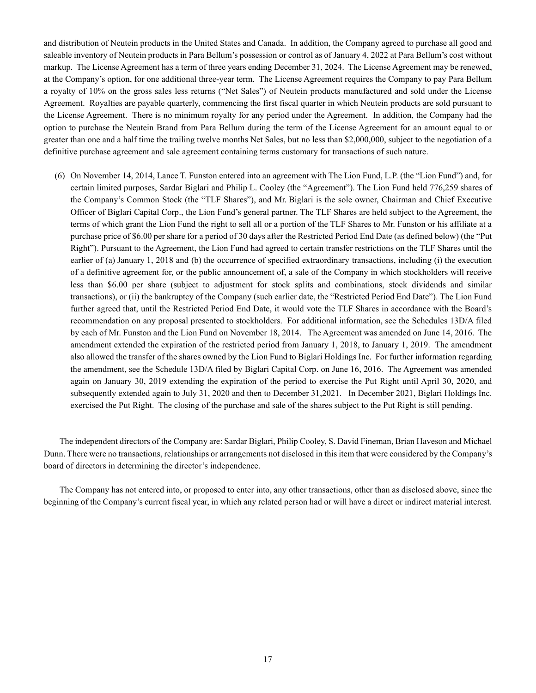and distribution of Neutein products in the United States and Canada. In addition, the Company agreed to purchase all good and saleable inventory of Neutein products in Para Bellum's possession or control as of January 4, 2022 at Para Bellum's cost without markup. The License Agreement has a term of three years ending December 31, 2024. The License Agreement may be renewed, at the Company's option, for one additional three-year term. The License Agreement requires the Company to pay Para Bellum a royalty of 10% on the gross sales less returns ("Net Sales") of Neutein products manufactured and sold under the License Agreement. Royalties are payable quarterly, commencing the first fiscal quarter in which Neutein products are sold pursuant to the License Agreement. There is no minimum royalty for any period under the Agreement. In addition, the Company had the option to purchase the Neutein Brand from Para Bellum during the term of the License Agreement for an amount equal to or greater than one and a half time the trailing twelve months Net Sales, but no less than \$2,000,000, subject to the negotiation of a definitive purchase agreement and sale agreement containing terms customary for transactions of such nature.

(6) On November 14, 2014, Lance T. Funston entered into an agreement with The Lion Fund, L.P. (the "Lion Fund") and, for certain limited purposes, Sardar Biglari and Philip L. Cooley (the "Agreement"). The Lion Fund held 776,259 shares of the Company's Common Stock (the "TLF Shares"), and Mr. Biglari is the sole owner, Chairman and Chief Executive Officer of Biglari Capital Corp., the Lion Fund's general partner. The TLF Shares are held subject to the Agreement, the terms of which grant the Lion Fund the right to sell all or a portion of the TLF Shares to Mr. Funston or his affiliate at a purchase price of \$6.00 per share for a period of 30 days after the Restricted Period End Date (as defined below) (the "Put Right"). Pursuant to the Agreement, the Lion Fund had agreed to certain transfer restrictions on the TLF Shares until the earlier of (a) January 1, 2018 and (b) the occurrence of specified extraordinary transactions, including (i) the execution of a definitive agreement for, or the public announcement of, a sale of the Company in which stockholders will receive less than \$6.00 per share (subject to adjustment for stock splits and combinations, stock dividends and similar transactions), or (ii) the bankruptcy of the Company (such earlier date, the "Restricted Period End Date"). The Lion Fund further agreed that, until the Restricted Period End Date, it would vote the TLF Shares in accordance with the Board's recommendation on any proposal presented to stockholders. For additional information, see the Schedules 13D/A filed by each of Mr. Funston and the Lion Fund on November 18, 2014. The Agreement was amended on June 14, 2016. The amendment extended the expiration of the restricted period from January 1, 2018, to January 1, 2019. The amendment also allowed the transfer of the shares owned by the Lion Fund to Biglari Holdings Inc. For further information regarding the amendment, see the Schedule 13D/A filed by Biglari Capital Corp. on June 16, 2016. The Agreement was amended again on January 30, 2019 extending the expiration of the period to exercise the Put Right until April 30, 2020, and subsequently extended again to July 31, 2020 and then to December 31,2021. In December 2021, Biglari Holdings Inc. exercised the Put Right. The closing of the purchase and sale of the shares subject to the Put Right is still pending.

The independent directors of the Company are: Sardar Biglari, Philip Cooley, S. David Fineman, Brian Haveson and Michael Dunn. There were no transactions, relationships or arrangements not disclosed in this item that were considered by the Company's board of directors in determining the director's independence.

The Company has not entered into, or proposed to enter into, any other transactions, other than as disclosed above, since the beginning of the Company's current fiscal year, in which any related person had or will have a direct or indirect material interest.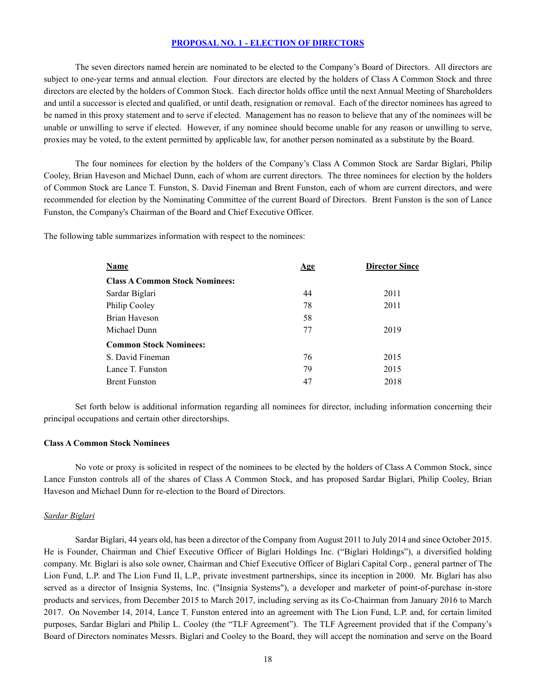## **PROPOSAL NO. 1 - ELECTION OF DIRECTORS**

The seven directors named herein are nominated to be elected to the Company's Board of Directors. All directors are subject to one-year terms and annual election. Four directors are elected by the holders of Class A Common Stock and three directors are elected by the holders of Common Stock. Each director holds office until the next Annual Meeting of Shareholders and until a successor is elected and qualified, or until death, resignation or removal. Each of the director nominees has agreed to be named in this proxy statement and to serve if elected. Management has no reason to believe that any of the nominees will be unable or unwilling to serve if elected. However, if any nominee should become unable for any reason or unwilling to serve, proxies may be voted, to the extent permitted by applicable law, for another person nominated as a substitute by the Board.

The four nominees for election by the holders of the Company's Class A Common Stock are Sardar Biglari, Philip Cooley, Brian Haveson and Michael Dunn, each of whom are current directors. The three nominees for election by the holders of Common Stock are Lance T. Funston, S. David Fineman and Brent Funston, each of whom are current directors, and were recommended for election by the Nominating Committee of the current Board of Directors. Brent Funston is the son of Lance Funston, the Company's Chairman of the Board and Chief Executive Officer.

The following table summarizes information with respect to the nominees:

| <b>Name</b>                           | <u>Age</u> | <b>Director Since</b> |  |  |  |  |
|---------------------------------------|------------|-----------------------|--|--|--|--|
| <b>Class A Common Stock Nominees:</b> |            |                       |  |  |  |  |
| Sardar Biglari                        | 44         | 2011                  |  |  |  |  |
| Philip Cooley                         | 78         | 2011                  |  |  |  |  |
| Brian Haveson                         | 58         |                       |  |  |  |  |
| Michael Dunn                          | 77         | 2019                  |  |  |  |  |
| <b>Common Stock Nominees:</b>         |            |                       |  |  |  |  |
| S. David Fineman                      | 76         | 2015                  |  |  |  |  |
| Lance T. Funston                      | 79         | 2015                  |  |  |  |  |
| <b>Brent Funston</b>                  | 47         | 2018                  |  |  |  |  |
|                                       |            |                       |  |  |  |  |

Set forth below is additional information regarding all nominees for director, including information concerning their principal occupations and certain other directorships.

#### **Class A Common Stock Nominees**

No vote or proxy is solicited in respect of the nominees to be elected by the holders of Class A Common Stock, since Lance Funston controls all of the shares of Class A Common Stock, and has proposed Sardar Biglari, Philip Cooley, Brian Haveson and Michael Dunn for re-election to the Board of Directors.

### *Sardar Biglari*

Sardar Biglari, 44 years old, has been a director of the Company from August 2011 to July 2014 and since October 2015. He is Founder, Chairman and Chief Executive Officer of Biglari Holdings Inc. ("Biglari Holdings"), a diversified holding company. Mr. Biglari is also sole owner, Chairman and Chief Executive Officer of Biglari Capital Corp., general partner of The Lion Fund, L.P. and The Lion Fund II, L.P., private investment partnerships, since its inception in 2000. Mr. Biglari has also served as a director of Insignia Systems, Inc. ("Insignia Systems"), a developer and marketer of point-of-purchase in-store products and services, from December 2015 to March 2017, including serving as its Co-Chairman from January 2016 to March 2017. On November 14, 2014, Lance T. Funston entered into an agreement with The Lion Fund, L.P. and, for certain limited purposes, Sardar Biglari and Philip L. Cooley (the "TLF Agreement"). The TLF Agreement provided that if the Company's Board of Directors nominates Messrs. Biglari and Cooley to the Board, they will accept the nomination and serve on the Board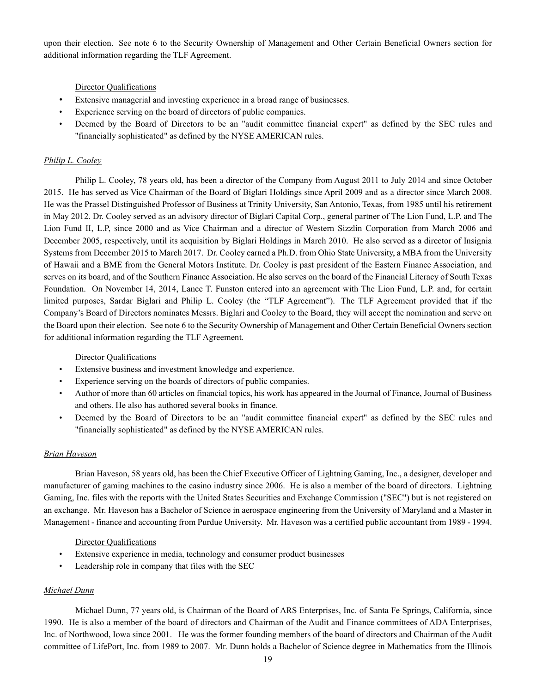upon their election. See note 6 to the Security Ownership of Management and Other Certain Beneficial Owners section for additional information regarding the TLF Agreement.

### Director Qualifications

- Extensive managerial and investing experience in a broad range of businesses.
- Experience serving on the board of directors of public companies.
- Deemed by the Board of Directors to be an "audit committee financial expert" as defined by the SEC rules and "financially sophisticated" as defined by the NYSE AMERICAN rules.

### *Philip L. Cooley*

Philip L. Cooley, 78 years old, has been a director of the Company from August 2011 to July 2014 and since October 2015. He has served as Vice Chairman of the Board of Biglari Holdings since April 2009 and as a director since March 2008. He was the Prassel Distinguished Professor of Business at Trinity University, San Antonio, Texas, from 1985 until his retirement in May 2012. Dr. Cooley served as an advisory director of Biglari Capital Corp., general partner of The Lion Fund, L.P. and The Lion Fund II, L.P, since 2000 and as Vice Chairman and a director of Western Sizzlin Corporation from March 2006 and December 2005, respectively, until its acquisition by Biglari Holdings in March 2010. He also served as a director of Insignia Systems from December 2015 to March 2017. Dr. Cooley earned a Ph.D. from Ohio State University, a MBA from the University of Hawaii and a BME from the General Motors Institute. Dr. Cooley is past president of the Eastern Finance Association, and serves on its board, and of the Southern Finance Association. He also serves on the board of the Financial Literacy of South Texas Foundation. On November 14, 2014, Lance T. Funston entered into an agreement with The Lion Fund, L.P. and, for certain limited purposes, Sardar Biglari and Philip L. Cooley (the "TLF Agreement"). The TLF Agreement provided that if the Company's Board of Directors nominates Messrs. Biglari and Cooley to the Board, they will accept the nomination and serve on the Board upon their election. See note 6 to the Security Ownership of Management and Other Certain Beneficial Owners section for additional information regarding the TLF Agreement.

### Director Qualifications

- Extensive business and investment knowledge and experience.
- Experience serving on the boards of directors of public companies.
- Author of more than 60 articles on financial topics, his work has appeared in the Journal of Finance, Journal of Business and others. He also has authored several books in finance.
- Deemed by the Board of Directors to be an "audit committee financial expert" as defined by the SEC rules and "financially sophisticated" as defined by the NYSE AMERICAN rules.

### *Brian Haveson*

Brian Haveson, 58 years old, has been the Chief Executive Officer of Lightning Gaming, Inc., a designer, developer and manufacturer of gaming machines to the casino industry since 2006. He is also a member of the board of directors. Lightning Gaming, Inc. files with the reports with the United States Securities and Exchange Commission ("SEC") but is not registered on an exchange. Mr. Haveson has a Bachelor of Science in aerospace engineering from the University of Maryland and a Master in Management - finance and accounting from Purdue University. Mr. Haveson was a certified public accountant from 1989 - 1994.

### Director Qualifications

- Extensive experience in media, technology and consumer product businesses
- Leadership role in company that files with the SEC

### *Michael Dunn*

Michael Dunn, 77 years old, is Chairman of the Board of ARS Enterprises, Inc. of Santa Fe Springs, California, since 1990. He is also a member of the board of directors and Chairman of the Audit and Finance committees of ADA Enterprises, Inc. of Northwood, Iowa since 2001. He was the former founding members of the board of directors and Chairman of the Audit committee of LifePort, Inc. from 1989 to 2007. Mr. Dunn holds a Bachelor of Science degree in Mathematics from the Illinois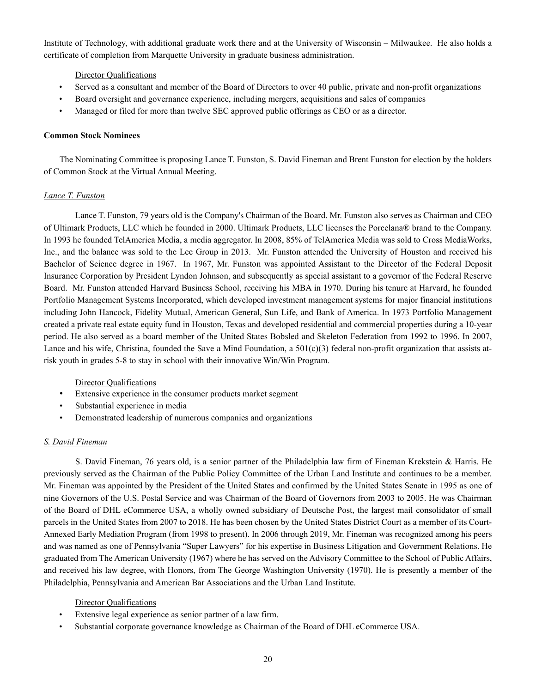Institute of Technology, with additional graduate work there and at the University of Wisconsin – Milwaukee. He also holds a certificate of completion from Marquette University in graduate business administration.

### Director Qualifications

- Served as a consultant and member of the Board of Directors to over 40 public, private and non-profit organizations
- Board oversight and governance experience, including mergers, acquisitions and sales of companies
- Managed or filed for more than twelve SEC approved public offerings as CEO or as a director.

#### **Common Stock Nominees**

The Nominating Committee is proposing Lance T. Funston, S. David Fineman and Brent Funston for election by the holders of Common Stock at the Virtual Annual Meeting.

#### *Lance T. Funston*

Lance T. Funston, 79 years old is the Company's Chairman of the Board. Mr. Funston also serves as Chairman and CEO of Ultimark Products, LLC which he founded in 2000. Ultimark Products, LLC licenses the Porcelana® brand to the Company. In 1993 he founded TelAmerica Media, a media aggregator. In 2008, 85% of TelAmerica Media was sold to Cross MediaWorks, Inc., and the balance was sold to the Lee Group in 2013. Mr. Funston attended the University of Houston and received his Bachelor of Science degree in 1967. In 1967, Mr. Funston was appointed Assistant to the Director of the Federal Deposit Insurance Corporation by President Lyndon Johnson, and subsequently as special assistant to a governor of the Federal Reserve Board. Mr. Funston attended Harvard Business School, receiving his MBA in 1970. During his tenure at Harvard, he founded Portfolio Management Systems Incorporated, which developed investment management systems for major financial institutions including John Hancock, Fidelity Mutual, American General, Sun Life, and Bank of America. In 1973 Portfolio Management created a private real estate equity fund in Houston, Texas and developed residential and commercial properties during a 10-year period. He also served as a board member of the United States Bobsled and Skeleton Federation from 1992 to 1996. In 2007, Lance and his wife, Christina, founded the Save a Mind Foundation, a  $501(c)(3)$  federal non-profit organization that assists atrisk youth in grades 5-8 to stay in school with their innovative Win/Win Program.

### Director Qualifications

- Extensive experience in the consumer products market segment
- Substantial experience in media
- Demonstrated leadership of numerous companies and organizations

### *S. David Fineman*

S. David Fineman, 76 years old, is a senior partner of the Philadelphia law firm of Fineman Krekstein & Harris. He previously served as the Chairman of the Public Policy Committee of the Urban Land Institute and continues to be a member. Mr. Fineman was appointed by the President of the United States and confirmed by the United States Senate in 1995 as one of nine Governors of the U.S. Postal Service and was Chairman of the Board of Governors from 2003 to 2005. He was Chairman of the Board of DHL eCommerce USA, a wholly owned subsidiary of Deutsche Post, the largest mail consolidator of small parcels in the United States from 2007 to 2018. He has been chosen by the United States District Court as a member of its Court-Annexed Early Mediation Program (from 1998 to present). In 2006 through 2019, Mr. Fineman was recognized among his peers and was named as one of Pennsylvania "Super Lawyers" for his expertise in Business Litigation and Government Relations. He graduated from The American University (1967) where he has served on the Advisory Committee to the School of Public Affairs, and received his law degree, with Honors, from The George Washington University (1970). He is presently a member of the Philadelphia, Pennsylvania and American Bar Associations and the Urban Land Institute.

### Director Qualifications

- Extensive legal experience as senior partner of a law firm.
- Substantial corporate governance knowledge as Chairman of the Board of DHL eCommerce USA.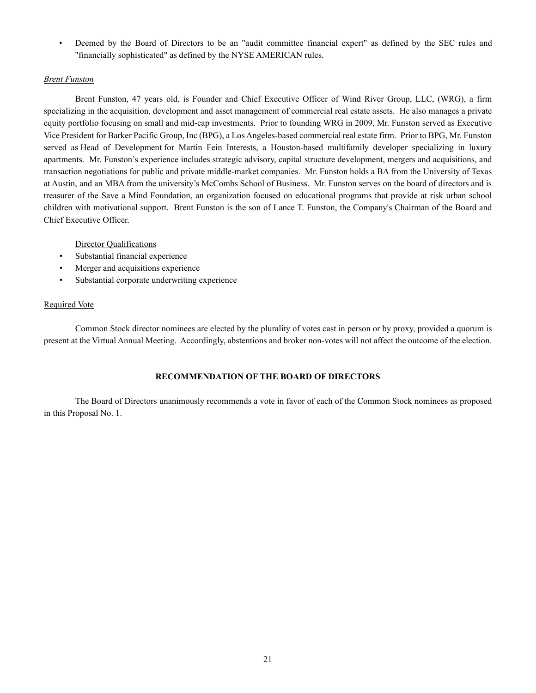• Deemed by the Board of Directors to be an "audit committee financial expert" as defined by the SEC rules and "financially sophisticated" as defined by the NYSE AMERICAN rules.

## *Brent Funston*

Brent Funston, 47 years old, is Founder and Chief Executive Officer of Wind River Group, LLC, (WRG), a firm specializing in the acquisition, development and asset management of commercial real estate assets. He also manages a private equity portfolio focusing on small and mid-cap investments. Prior to founding WRG in 2009, Mr. Funston served as Executive Vice President for Barker Pacific Group, Inc (BPG), a Los Angeles-based commercial real estate firm. Prior to BPG, Mr. Funston served as Head of Development for Martin Fein Interests, a Houston-based multifamily developer specializing in luxury apartments. Mr. Funston's experience includes strategic advisory, capital structure development, mergers and acquisitions, and transaction negotiations for public and private middle-market companies. Mr. Funston holds a BA from the University of Texas at Austin, and an MBA from the university's McCombs School of Business. Mr. Funston serves on the board of directors and is treasurer of the Save a Mind Foundation, an organization focused on educational programs that provide at risk urban school children with motivational support. Brent Funston is the son of Lance T. Funston, the Company's Chairman of the Board and Chief Executive Officer.

### Director Qualifications

- Substantial financial experience
- Merger and acquisitions experience
- Substantial corporate underwriting experience

### Required Vote

Common Stock director nominees are elected by the plurality of votes cast in person or by proxy, provided a quorum is present at the Virtual Annual Meeting. Accordingly, abstentions and broker non-votes will not affect the outcome of the election.

## **RECOMMENDATION OF THE BOARD OF DIRECTORS**

The Board of Directors unanimously recommends a vote in favor of each of the Common Stock nominees as proposed in this Proposal No. 1.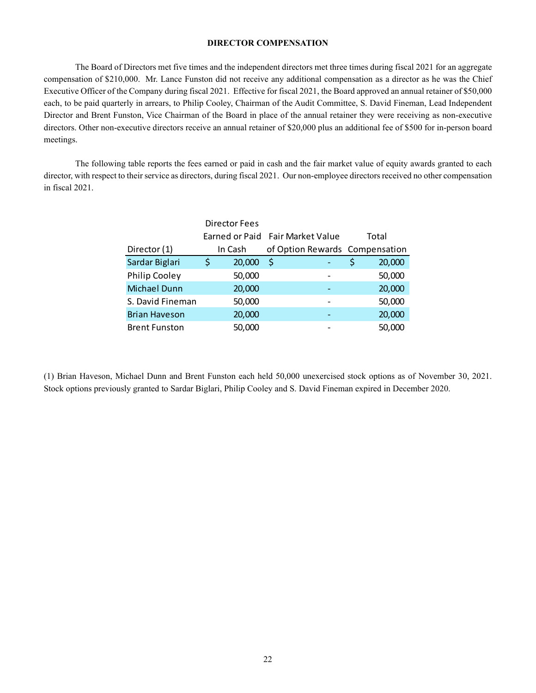# **DIRECTOR COMPENSATION**

The Board of Directors met five times and the independent directors met three times during fiscal 2021 for an aggregate compensation of \$210,000. Mr. Lance Funston did not receive any additional compensation as a director as he was the Chief Executive Officer of the Company during fiscal 2021. Effective for fiscal 2021, the Board approved an annual retainer of \$50,000 each, to be paid quarterly in arrears, to Philip Cooley, Chairman of the Audit Committee, S. David Fineman, Lead Independent Director and Brent Funston, Vice Chairman of the Board in place of the annual retainer they were receiving as non-executive directors. Other non-executive directors receive an annual retainer of \$20,000 plus an additional fee of \$500 for in-person board meetings.

The following table reports the fees earned or paid in cash and the fair market value of equity awards granted to each director, with respect to their service as directors, during fiscal 2021. Our non-employee directors received no other compensation in fiscal 2021.

|                      |    | <b>Director Fees</b> |                                  |  |  |       |                                |
|----------------------|----|----------------------|----------------------------------|--|--|-------|--------------------------------|
|                      |    |                      | Earned or Paid Fair Market Value |  |  | Total |                                |
| Director (1)         |    | In Cash              |                                  |  |  |       | of Option Rewards Compensation |
| Sardar Biglari       | \$ | 20,000               | -\$                              |  |  | \$    | 20,000                         |
| <b>Philip Cooley</b> |    | 50,000               |                                  |  |  |       | 50,000                         |
| Michael Dunn         |    | 20,000               |                                  |  |  |       | 20,000                         |
| S. David Fineman     |    | 50,000               |                                  |  |  |       | 50,000                         |
| <b>Brian Haveson</b> |    | 20,000               |                                  |  |  |       | 20,000                         |
| <b>Brent Funston</b> |    | 50,000               |                                  |  |  |       | 50,000                         |

(1) Brian Haveson, Michael Dunn and Brent Funston each held 50,000 unexercised stock options as of November 30, 2021. Stock options previously granted to Sardar Biglari, Philip Cooley and S. David Fineman expired in December 2020.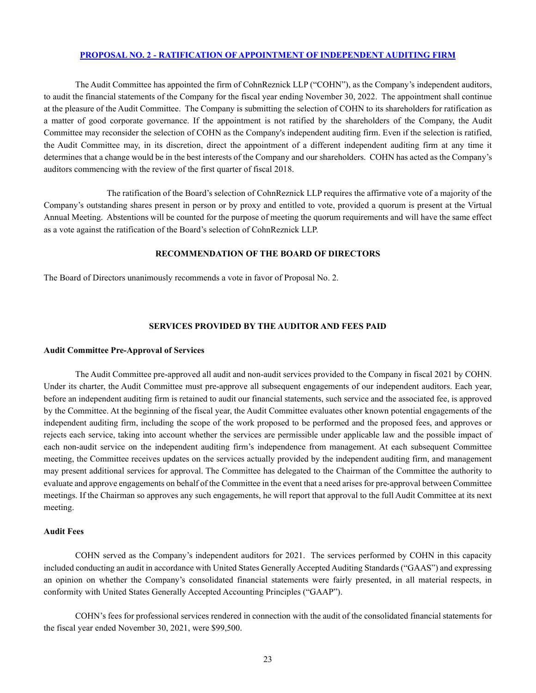### **PROPOSAL NO. 2 - [RATIFICATION OF APPOINTMENT OF INDEPENDENT AUDITING](#page-22-0) FIRM**

The Audit Committee has appointed the firm of CohnReznick LLP ("COHN"), as the Company's independent auditors, to audit the financial statements of the Company for the fiscal year ending November 30, 2022. The appointment shall continue at the pleasure of the Audit Committee. The Company is submitting the selection of COHN to its shareholders for ratification as a matter of good corporate governance. If the appointment is not ratified by the shareholders of the Company, the Audit Committee may reconsider the selection of COHN as the Company's independent auditing firm. Even if the selection is ratified, the Audit Committee may, in its discretion, direct the appointment of a different independent auditing firm at any time it determines that a change would be in the best interests of the Company and our shareholders. COHN has acted as the Company's auditors commencing with the review of the first quarter of fiscal 2018.

The ratification of the Board's selection of CohnReznick LLP requires the affirmative vote of a majority of the Company's outstanding shares present in person or by proxy and entitled to vote, provided a quorum is present at the Virtual Annual Meeting. Abstentions will be counted for the purpose of meeting the quorum requirements and will have the same effect as a vote against the ratification of the Board's selection of CohnReznick LLP.

#### <span id="page-22-0"></span>**RECOMMENDATION OF THE BOARD OF DIRECTORS**

The Board of Directors unanimously recommends a vote in favor of Proposal No. 2.

#### **SERVICES PROVIDED BY THE AUDITOR AND FEES PAID**

#### **Audit Committee Pre-Approval of Services**

The Audit Committee pre-approved all audit and non-audit services provided to the Company in fiscal 2021 by COHN. Under its charter, the Audit Committee must pre-approve all subsequent engagements of our independent auditors. Each year, before an independent auditing firm is retained to audit our financial statements, such service and the associated fee, is approved by the Committee. At the beginning of the fiscal year, the Audit Committee evaluates other known potential engagements of the independent auditing firm, including the scope of the work proposed to be performed and the proposed fees, and approves or rejects each service, taking into account whether the services are permissible under applicable law and the possible impact of each non-audit service on the independent auditing firm's independence from management. At each subsequent Committee meeting, the Committee receives updates on the services actually provided by the independent auditing firm, and management may present additional services for approval. The Committee has delegated to the Chairman of the Committee the authority to evaluate and approve engagements on behalf of the Committee in the event that a need arises for pre-approval between Committee meetings. If the Chairman so approves any such engagements, he will report that approval to the full Audit Committee at its next meeting.

### **Audit Fees**

COHN served as the Company's independent auditors for 2021. The services performed by COHN in this capacity included conducting an audit in accordance with United States Generally Accepted Auditing Standards ("GAAS") and expressing an opinion on whether the Company's consolidated financial statements were fairly presented, in all material respects, in conformity with United States Generally Accepted Accounting Principles ("GAAP").

COHN's fees for professional services rendered in connection with the audit of the consolidated financial statements for the fiscal year ended November 30, 2021, were \$99,500.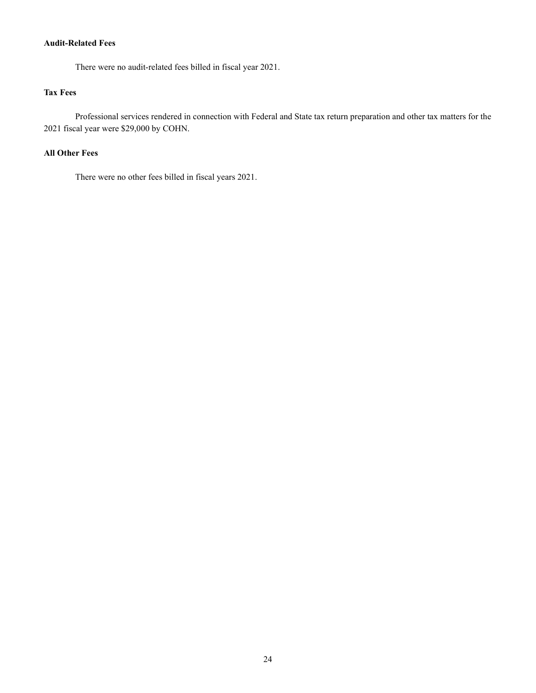# **Audit-Related Fees**

There were no audit-related fees billed in fiscal year 2021.

# **Tax Fees**

Professional services rendered in connection with Federal and State tax return preparation and other tax matters for the 2021 fiscal year were \$29,000 by COHN.

# **All Other Fees**

There were no other fees billed in fiscal years 2021.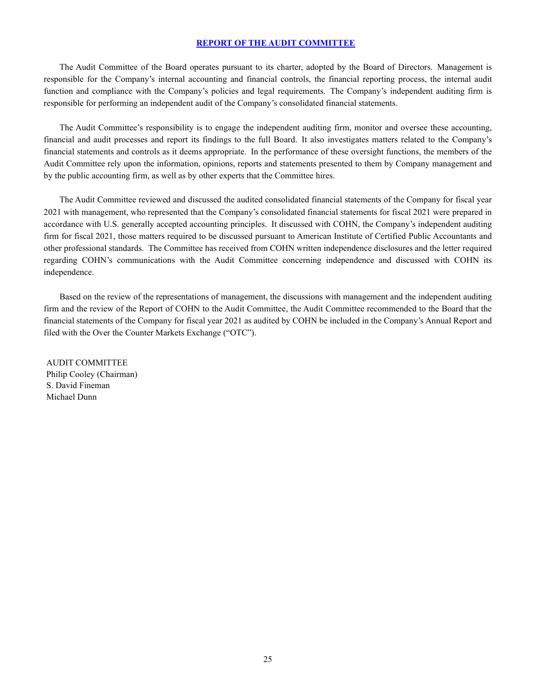## **REPORT OF THE AUDIT COMMITTEE**

The Audit Committee of the Board operates pursuant to its charter, adopted by the Board of Directors. Management is responsible for the Company's internal accounting and financial controls, the financial reporting process, the internal audit function and compliance with the Company's policies and legal requirements. The Company's independent auditing firm is responsible for performing an independent audit of the Company's consolidated financial statements.

The Audit Committee's responsibility is to engage the independent auditing firm, monitor and oversee these accounting, financial and audit processes and report its findings to the full Board. It also investigates matters related to the Company's financial statements and controls as it deems appropriate. In the performance of these oversight functions, the members of the Audit Committee rely upon the information, opinions, reports and statements presented to them by Company management and by the public accounting firm, as well as by other experts that the Committee hires.

The Audit Committee reviewed and discussed the audited consolidated financial statements of the Company for fiscal year 2021 with management, who represented that the Company's consolidated financial statements for fiscal 2021 were prepared in accordance with U.S. generally accepted accounting principles. It discussed with COHN, the Company's independent auditing firm for fiscal 2021, those matters required to be discussed pursuant to American Institute of Certified Public Accountants and other professional standards. The Committee has received from COHN written independence disclosures and the letter required regarding COHN's communications with the Audit Committee concerning independence and discussed with COHN its independence.

Based on the review of the representations of management, the discussions with management and the independent auditing firm and the review of the Report of COHN to the Audit Committee, the Audit Committee recommended to the Board that the financial statements of the Company for fiscal year 2021 as audited by COHN be included in the Company's Annual Report and filed with the Over the Counter Markets Exchange ("OTC").

AUDIT COMMITTEE Philip Cooley (Chairman) S. David Fineman Michael Dunn